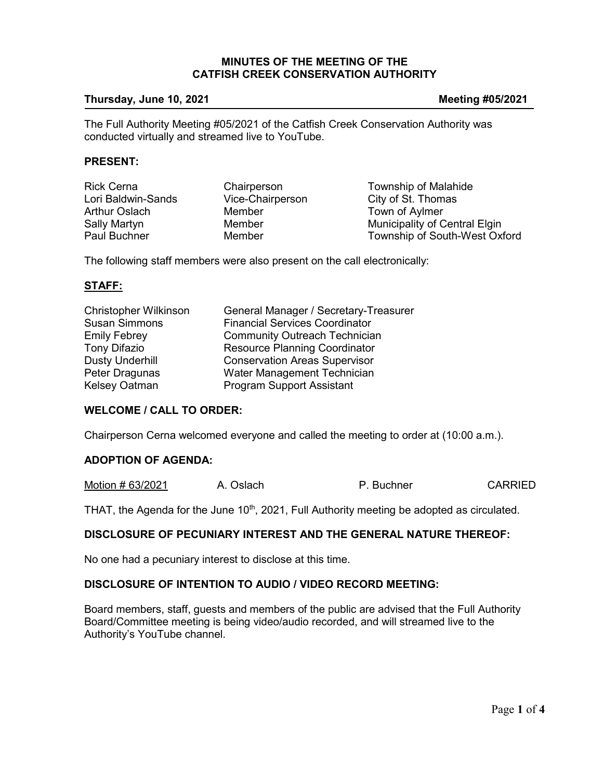### **MINUTES OF THE MEETING OF THE CATFISH CREEK CONSERVATION AUTHORITY**

#### **Thursday, June 10, 2021 Meeting #05/2021**

The Full Authority Meeting #05/2021 of the Catfish Creek Conservation Authority was conducted virtually and streamed live to YouTube.

#### **PRESENT:**

| <b>Rick Cerna</b>    | Chairperson      | Township of Malahide          |
|----------------------|------------------|-------------------------------|
| Lori Baldwin-Sands   | Vice-Chairperson | City of St. Thomas            |
| <b>Arthur Oslach</b> | Member           | Town of Aylmer                |
| Sally Martyn         | Member           | Municipality of Central Elgin |
| <b>Paul Buchner</b>  | Member           | Township of South-West Oxford |

The following staff members were also present on the call electronically:

## **STAFF:**

| <b>Christopher Wilkinson</b> | General Manager / Secretary-Treasurer |
|------------------------------|---------------------------------------|
| <b>Susan Simmons</b>         | <b>Financial Services Coordinator</b> |
| <b>Emily Febrey</b>          | <b>Community Outreach Technician</b>  |
| <b>Tony Difazio</b>          | <b>Resource Planning Coordinator</b>  |
| <b>Dusty Underhill</b>       | <b>Conservation Areas Supervisor</b>  |
| Peter Dragunas               | Water Management Technician           |
| Kelsey Oatman                | <b>Program Support Assistant</b>      |

## **WELCOME / CALL TO ORDER:**

Chairperson Cerna welcomed everyone and called the meeting to order at (10:00 a.m.).

## **ADOPTION OF AGENDA:**

Motion # 63/2021 A. Oslach P. Buchner CARRIED

THAT, the Agenda for the June 10<sup>th</sup>, 2021, Full Authority meeting be adopted as circulated.

# **DISCLOSURE OF PECUNIARY INTEREST AND THE GENERAL NATURE THEREOF:**

No one had a pecuniary interest to disclose at this time.

# **DISCLOSURE OF INTENTION TO AUDIO / VIDEO RECORD MEETING:**

Board members, staff, guests and members of the public are advised that the Full Authority Board/Committee meeting is being video/audio recorded, and will streamed live to the Authority's YouTube channel.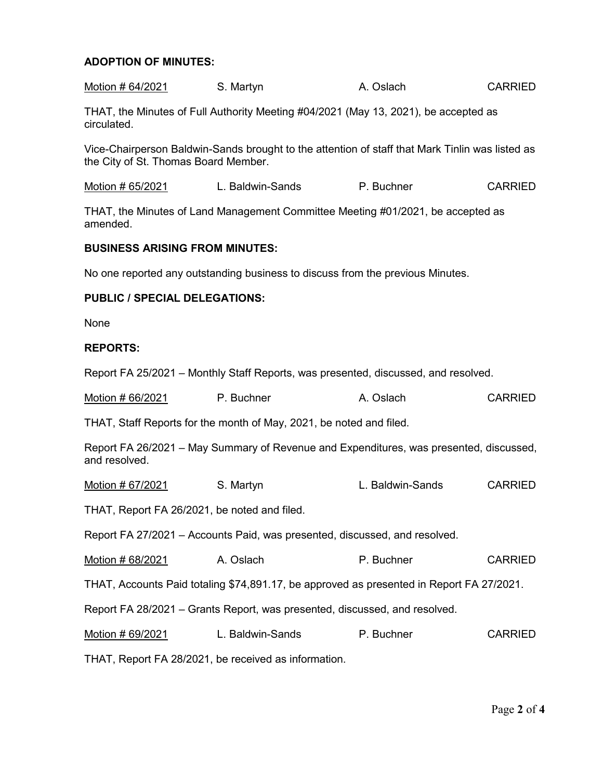## **ADOPTION OF MINUTES:**

| Motion # 64/2021 | S. Martyn | A. Oslach | <b>CARRIED</b> |
|------------------|-----------|-----------|----------------|
|                  |           |           |                |

THAT, the Minutes of Full Authority Meeting #04/2021 (May 13, 2021), be accepted as circulated.

Vice-Chairperson Baldwin-Sands brought to the attention of staff that Mark Tinlin was listed as the City of St. Thomas Board Member.

Motion # 65/2021 L. Baldwin-Sands P. Buchner CARRIED

THAT, the Minutes of Land Management Committee Meeting #01/2021, be accepted as amended.

#### **BUSINESS ARISING FROM MINUTES:**

No one reported any outstanding business to discuss from the previous Minutes.

## **PUBLIC / SPECIAL DELEGATIONS:**

None

#### **REPORTS:**

Report FA 25/2021 – Monthly Staff Reports, was presented, discussed, and resolved.

| Motion # 66/2021 | P. Buchner | A. Oslach | <b>CARRIED</b> |
|------------------|------------|-----------|----------------|
|------------------|------------|-----------|----------------|

THAT, Staff Reports for the month of May, 2021, be noted and filed.

Report FA 26/2021 – May Summary of Revenue and Expenditures, was presented, discussed, and resolved.

Motion # 67/2021 S. Martyn L. Baldwin-Sands CARRIED

THAT, Report FA 26/2021, be noted and filed.

Report FA 27/2021 – Accounts Paid, was presented, discussed, and resolved.

Motion # 68/2021 A. Oslach A. P. Buchner CARRIED

THAT, Accounts Paid totaling \$74,891.17, be approved as presented in Report FA 27/2021.

Report FA 28/2021 – Grants Report, was presented, discussed, and resolved.

Motion # 69/2021 L. Baldwin-Sands P. Buchner CARRIED

THAT, Report FA 28/2021, be received as information.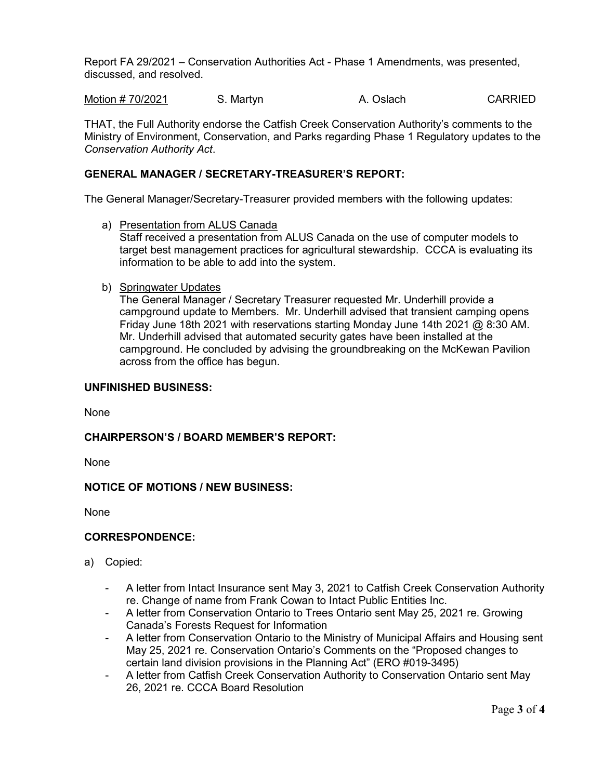Report FA 29/2021 – Conservation Authorities Act - Phase 1 Amendments, was presented, discussed, and resolved.

Motion # 70/2021 S. Martyn A. Oslach CARRIED

THAT, the Full Authority endorse the Catfish Creek Conservation Authority's comments to the Ministry of Environment, Conservation, and Parks regarding Phase 1 Regulatory updates to the *Conservation Authority Act*.

# **GENERAL MANAGER / SECRETARY-TREASURER'S REPORT:**

The General Manager/Secretary-Treasurer provided members with the following updates:

a) Presentation from ALUS Canada

Staff received a presentation from ALUS Canada on the use of computer models to target best management practices for agricultural stewardship. CCCA is evaluating its information to be able to add into the system.

b) Springwater Updates

The General Manager / Secretary Treasurer requested Mr. Underhill provide a campground update to Members. Mr. Underhill advised that transient camping opens Friday June 18th 2021 with reservations starting Monday June 14th 2021 @ 8:30 AM. Mr. Underhill advised that automated security gates have been installed at the campground. He concluded by advising the groundbreaking on the McKewan Pavilion across from the office has begun.

## **UNFINISHED BUSINESS:**

None

# **CHAIRPERSON'S / BOARD MEMBER'S REPORT:**

None

# **NOTICE OF MOTIONS / NEW BUSINESS:**

None

### **CORRESPONDENCE:**

- a) Copied:
	- A letter from Intact Insurance sent May 3, 2021 to Catfish Creek Conservation Authority re. Change of name from Frank Cowan to Intact Public Entities Inc.
	- A letter from Conservation Ontario to Trees Ontario sent May 25, 2021 re. Growing Canada's Forests Request for Information
	- A letter from Conservation Ontario to the Ministry of Municipal Affairs and Housing sent May 25, 2021 re. Conservation Ontario's Comments on the "Proposed changes to certain land division provisions in the Planning Act" (ERO #019-3495)
	- A letter from Catfish Creek Conservation Authority to Conservation Ontario sent May 26, 2021 re. CCCA Board Resolution